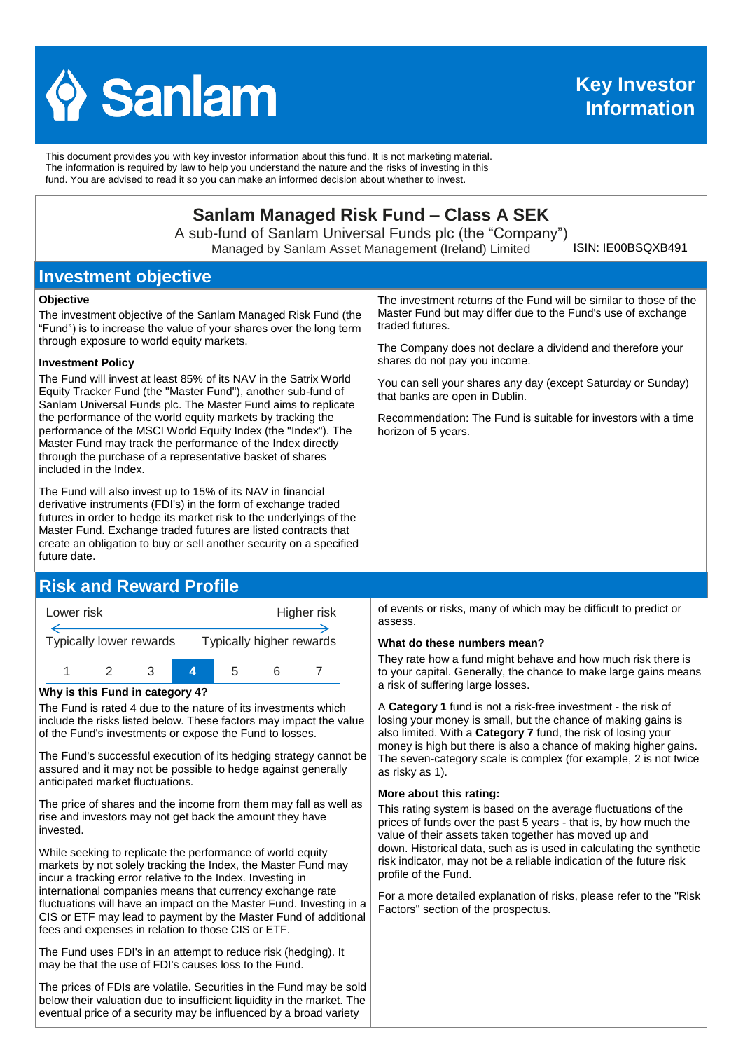

This document provides you with key investor information about this fund. It is not marketing material. The information is required by law to help you understand the nature and the risks of investing in this fund. You are advised to read it so you can make an informed decision about whether to invest.

# **Sanlam Managed Risk Fund – Class A SEK**

A sub-fund of Sanlam Universal Funds plc (the "Company") Managed by Sanlam Asset Management (Ireland) Limited

ISIN: IE00BSQXB491

## **Investment objective**

#### **Objective**

The investment objective of the Sanlam Managed Risk Fund (the "Fund") is to increase the value of your shares over the long term through exposure to world equity markets.

#### **Investment Policy**

The Fund will invest at least 85% of its NAV in the Satrix World Equity Tracker Fund (the "Master Fund"), another sub-fund of Sanlam Universal Funds plc. The Master Fund aims to replicate the performance of the world equity markets by tracking the performance of the MSCI World Equity Index (the "Index"). The Master Fund may track the performance of the Index directly through the purchase of a representative basket of shares included in the Index.

The Fund will also invest up to 15% of its NAV in financial derivative instruments (FDI's) in the form of exchange traded futures in order to hedge its market risk to the underlyings of the Master Fund. Exchange traded futures are listed contracts that create an obligation to buy or sell another security on a specified future date.

# **Risk and Reward Profile**



#### **Why is this Fund in category 4?**

The Fund is rated 4 due to the nature of its investments which include the risks listed below. These factors may impact the value of the Fund's investments or expose the Fund to losses.

The Fund's successful execution of its hedging strategy cannot be assured and it may not be possible to hedge against generally anticipated market fluctuations.

The price of shares and the income from them may fall as well as rise and investors may not get back the amount they have invested.

While seeking to replicate the performance of world equity markets by not solely tracking the Index, the Master Fund may incur a tracking error relative to the Index. Investing in international companies means that currency exchange rate fluctuations will have an impact on the Master Fund. Investing in a CIS or ETF may lead to payment by the Master Fund of additional fees and expenses in relation to those CIS or ETF.

The Fund uses FDI's in an attempt to reduce risk (hedging). It may be that the use of FDI's causes loss to the Fund.

The prices of FDIs are volatile. Securities in the Fund may be sold below their valuation due to insufficient liquidity in the market. The eventual price of a security may be influenced by a broad variety

The investment returns of the Fund will be similar to those of the Master Fund but may differ due to the Fund's use of exchange traded futures.

The Company does not declare a dividend and therefore your shares do not pay you income.

You can sell your shares any day (except Saturday or Sunday) that banks are open in Dublin.

Recommendation: The Fund is suitable for investors with a time horizon of 5 years.

of events or risks, many of which may be difficult to predict or assess.

#### **What do these numbers mean?**

They rate how a fund might behave and how much risk there is to your capital. Generally, the chance to make large gains means a risk of suffering large losses.

A **Category 1** fund is not a risk-free investment - the risk of losing your money is small, but the chance of making gains is also limited. With a **Category 7** fund, the risk of losing your money is high but there is also a chance of making higher gains. The seven-category scale is complex (for example, 2 is not twice as risky as 1).

#### **More about this rating:**

This rating system is based on the average fluctuations of the prices of funds over the past 5 years - that is, by how much the value of their assets taken together has moved up and down. Historical data, such as is used in calculating the synthetic risk indicator, may not be a reliable indication of the future risk profile of the Fund.

For a more detailed explanation of risks, please refer to the ''Risk Factors'' section of the prospectus.